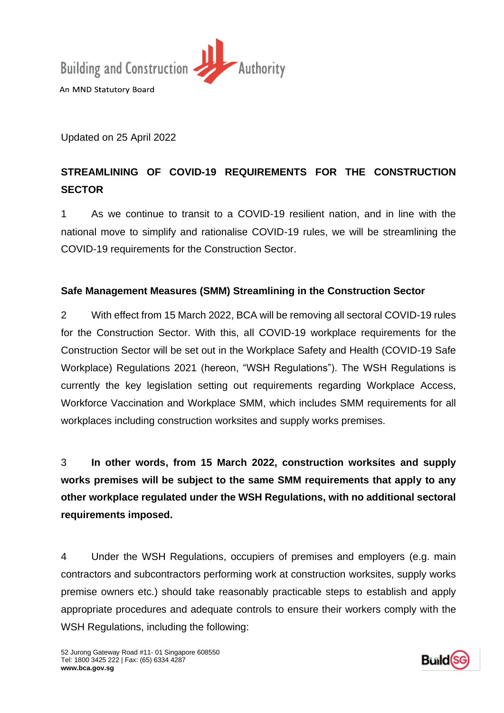

Updated on 25 April 2022

# **STREAMLINING OF COVID-19 REQUIREMENTS FOR THE CONSTRUCTION SECTOR**

1 As we continue to transit to a COVID-19 resilient nation, and in line with the national move to simplify and rationalise COVID-19 rules, we will be streamlining the COVID-19 requirements for the Construction Sector.

# **Safe Management Measures (SMM) Streamlining in the Construction Sector**

2 With effect from 15 March 2022, BCA will be removing all sectoral COVID-19 rules for the Construction Sector. With this, all COVID-19 workplace requirements for the Construction Sector will be set out in the Workplace Safety and Health (COVID-19 Safe Workplace) Regulations 2021 (hereon, "WSH Regulations"). The WSH Regulations is currently the key legislation setting out requirements regarding Workplace Access, Workforce Vaccination and Workplace SMM, which includes SMM requirements for all workplaces including construction worksites and supply works premises.

3 **In other words, from 15 March 2022, construction worksites and supply works premises will be subject to the same SMM requirements that apply to any other workplace regulated under the WSH Regulations, with no additional sectoral requirements imposed.**

4 Under the WSH Regulations, occupiers of premises and employers (e.g. main contractors and subcontractors performing work at construction worksites, supply works premise owners etc.) should take reasonably practicable steps to establish and apply appropriate procedures and adequate controls to ensure their workers comply with the WSH Regulations, including the following:

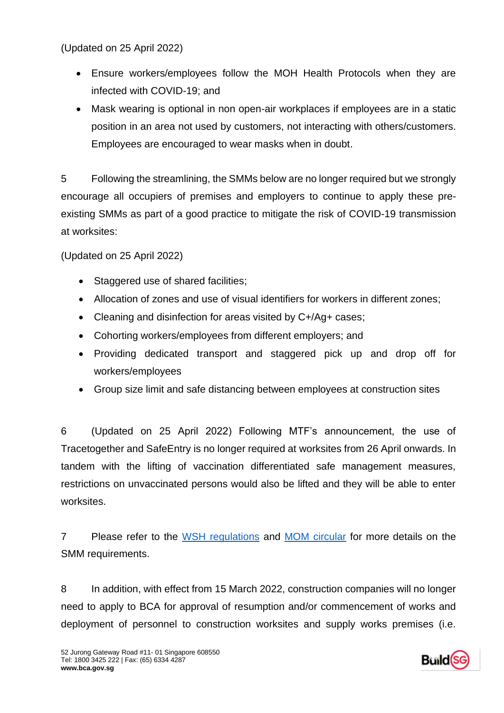(Updated on 25 April 2022)

- Ensure workers/employees follow the MOH Health Protocols when they are infected with COVID-19; and
- Mask wearing is optional in non open-air workplaces if employees are in a static position in an area not used by customers, not interacting with others/customers. Employees are encouraged to wear masks when in doubt.

5 Following the streamlining, the SMMs below are no longer required but we strongly encourage all occupiers of premises and employers to continue to apply these preexisting SMMs as part of a good practice to mitigate the risk of COVID-19 transmission at worksites:

(Updated on 25 April 2022)

- Staggered use of shared facilities;
- Allocation of zones and use of visual identifiers for workers in different zones;
- Cleaning and disinfection for areas visited by C+/Ag+ cases;
- Cohorting workers/employees from different employers; and
- Providing dedicated transport and staggered pick up and drop off for workers/employees
- Group size limit and safe distancing between employees at construction sites

6 (Updated on 25 April 2022) Following MTF's announcement, the use of Tracetogether and SafeEntry is no longer required at worksites from 26 April onwards. In tandem with the lifting of vaccination differentiated safe management measures, restrictions on unvaccinated persons would also be lifted and they will be able to enter worksites.

7 Please refer to the [WSH regulations](https://sso.agc.gov.sg/SL/WSHA2006-S992-2021?DocDate=20211229) and [MOM circular](https://www.mom.gov.sg/covid-19/requirements-for-safe-management-measures) for more details on the SMM requirements.

8 In addition, with effect from 15 March 2022, construction companies will no longer need to apply to BCA for approval of resumption and/or commencement of works and deployment of personnel to construction worksites and supply works premises (i.e.

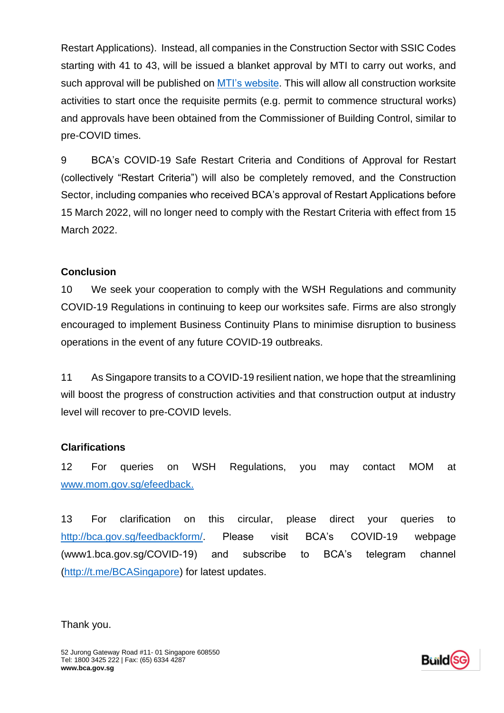Restart Applications). Instead, all companies in the Construction Sector with SSIC Codes starting with 41 to 43, will be issued a blanket approval by MTI to carry out works, and such approval will be published on [MTI's website.](https://www.gobusiness.gov.sg/permittedlist/) This will allow all construction worksite activities to start once the requisite permits (e.g. permit to commence structural works) and approvals have been obtained from the Commissioner of Building Control, similar to pre-COVID times.

9 BCA's COVID-19 Safe Restart Criteria and Conditions of Approval for Restart (collectively "Restart Criteria") will also be completely removed, and the Construction Sector, including companies who received BCA's approval of Restart Applications before 15 March 2022, will no longer need to comply with the Restart Criteria with effect from 15 March 2022.

## **Conclusion**

10 We seek your cooperation to comply with the WSH Regulations and community COVID-19 Regulations in continuing to keep our worksites safe. Firms are also strongly encouraged to implement Business Continuity Plans to minimise disruption to business operations in the event of any future COVID-19 outbreaks.

11 As Singapore transits to a COVID-19 resilient nation, we hope that the streamlining will boost the progress of construction activities and that construction output at industry level will recover to pre-COVID levels.

## **Clarifications**

12 For queries on WSH Regulations, you may contact MOM at [www.mom.gov.sg/efeedback.](http://www.mom.gov.sg/efeedback)

13 For clarification on this circular, please direct your queries to [http://bca.gov.sg/feedbackform/.](http://bca.gov.sg/feedbackform/) Please visit BCA's COVID-19 webpage (www1.bca.gov.sg/COVID-19) and subscribe to BCA's telegram channel [\(http://t.me/BCASingapore\)](http://t.me/BCASingapore) for latest updates.

#### Thank you.

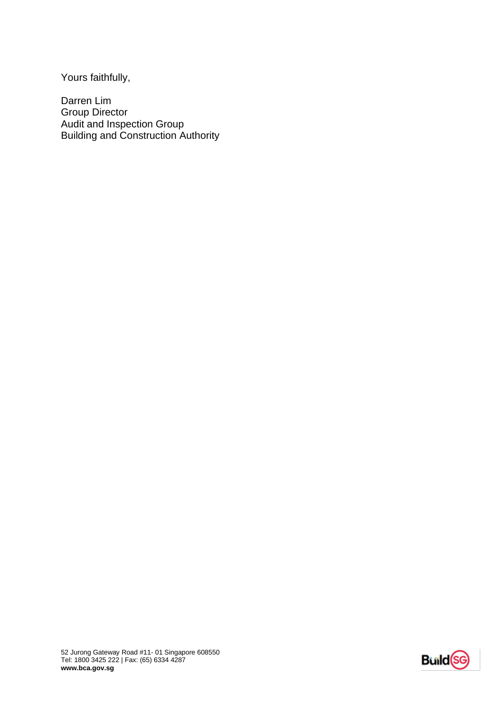Yours faithfully,

Darren Lim Group Director Audit and Inspection Group Building and Construction Authority

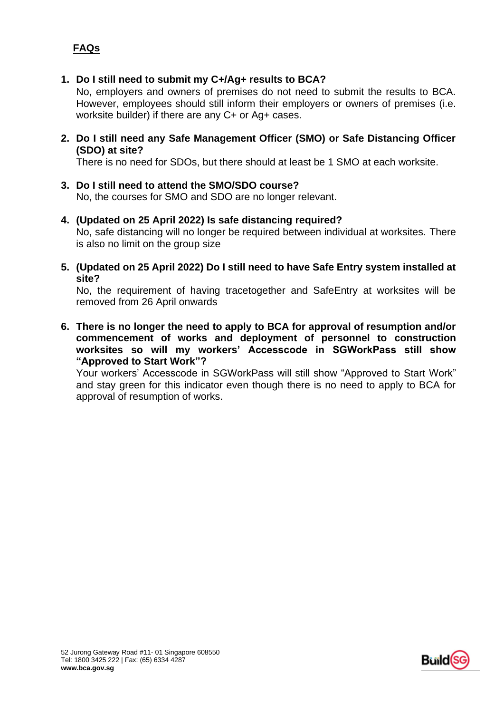# **FAQs**

#### **1. Do I still need to submit my C+/Ag+ results to BCA?**

No, employers and owners of premises do not need to submit the results to BCA. However, employees should still inform their employers or owners of premises (i.e. worksite builder) if there are any C+ or Ag+ cases.

**2. Do I still need any Safe Management Officer (SMO) or Safe Distancing Officer (SDO) at site?**

There is no need for SDOs, but there should at least be 1 SMO at each worksite.

- **3. Do I still need to attend the SMO/SDO course?** No, the courses for SMO and SDO are no longer relevant.
- **4. (Updated on 25 April 2022) Is safe distancing required?** No, safe distancing will no longer be required between individual at worksites. There is also no limit on the group size
- **5. (Updated on 25 April 2022) Do I still need to have Safe Entry system installed at site?**

No, the requirement of having tracetogether and SafeEntry at worksites will be removed from 26 April onwards

**6. There is no longer the need to apply to BCA for approval of resumption and/or commencement of works and deployment of personnel to construction worksites so will my workers' Accesscode in SGWorkPass still show "Approved to Start Work"?**

Your workers' Accesscode in SGWorkPass will still show "Approved to Start Work" and stay green for this indicator even though there is no need to apply to BCA for approval of resumption of works.

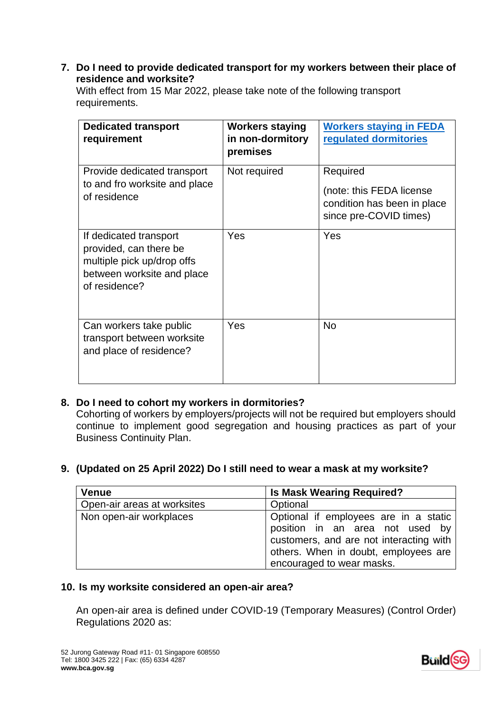#### **7. Do I need to provide dedicated transport for my workers between their place of residence and worksite?**

With effect from 15 Mar 2022, please take note of the following transport requirements.

| <b>Dedicated transport</b><br>requirement                                                                                     | <b>Workers staying</b><br>in non-dormitory<br>premises | <b>Workers staying in FEDA</b><br><b>regulated dormitories</b>                                |
|-------------------------------------------------------------------------------------------------------------------------------|--------------------------------------------------------|-----------------------------------------------------------------------------------------------|
| Provide dedicated transport<br>to and fro worksite and place<br>of residence                                                  | Not required                                           | Required<br>(note: this FEDA license<br>condition has been in place<br>since pre-COVID times) |
| If dedicated transport<br>provided, can there be<br>multiple pick up/drop offs<br>between worksite and place<br>of residence? | Yes                                                    | Yes                                                                                           |
| Can workers take public<br>transport between worksite<br>and place of residence?                                              | Yes                                                    | <b>No</b>                                                                                     |

## **8. Do I need to cohort my workers in dormitories?**

Cohorting of workers by employers/projects will not be required but employers should continue to implement good segregation and housing practices as part of your Business Continuity Plan.

#### **9. (Updated on 25 April 2022) Do I still need to wear a mask at my worksite?**

| <b>Venue</b>                | <b>Is Mask Wearing Required?</b>                                                                                                                                                         |
|-----------------------------|------------------------------------------------------------------------------------------------------------------------------------------------------------------------------------------|
| Open-air areas at worksites | Optional                                                                                                                                                                                 |
| Non open-air workplaces     | Optional if employees are in a static<br>position in an area not used by<br>customers, and are not interacting with<br>others. When in doubt, employees are<br>encouraged to wear masks. |

#### **10. Is my worksite considered an open-air area?**

An open-air area is defined under COVID-19 (Temporary Measures) (Control Order) Regulations 2020 as: